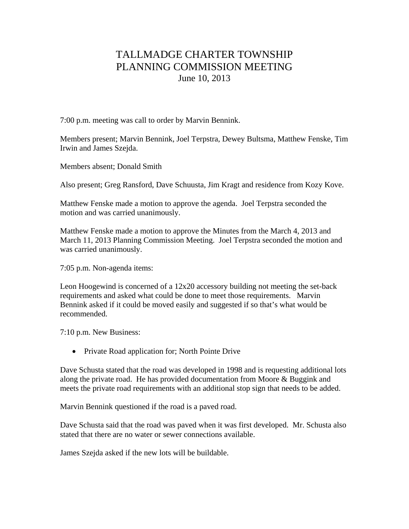## TALLMADGE CHARTER TOWNSHIP PLANNING COMMISSION MEETING June 10, 2013

7:00 p.m. meeting was call to order by Marvin Bennink.

Members present; Marvin Bennink, Joel Terpstra, Dewey Bultsma, Matthew Fenske, Tim Irwin and James Szejda.

Members absent; Donald Smith

Also present; Greg Ransford, Dave Schuusta, Jim Kragt and residence from Kozy Kove.

Matthew Fenske made a motion to approve the agenda. Joel Terpstra seconded the motion and was carried unanimously.

Matthew Fenske made a motion to approve the Minutes from the March 4, 2013 and March 11, 2013 Planning Commission Meeting. Joel Terpstra seconded the motion and was carried unanimously.

7:05 p.m. Non-agenda items:

Leon Hoogewind is concerned of a 12x20 accessory building not meeting the set-back requirements and asked what could be done to meet those requirements. Marvin Bennink asked if it could be moved easily and suggested if so that's what would be recommended.

7:10 p.m. New Business:

• Private Road application for; North Pointe Drive

Dave Schusta stated that the road was developed in 1998 and is requesting additional lots along the private road. He has provided documentation from Moore & Buggink and meets the private road requirements with an additional stop sign that needs to be added.

Marvin Bennink questioned if the road is a paved road.

Dave Schusta said that the road was paved when it was first developed. Mr. Schusta also stated that there are no water or sewer connections available.

James Szejda asked if the new lots will be buildable.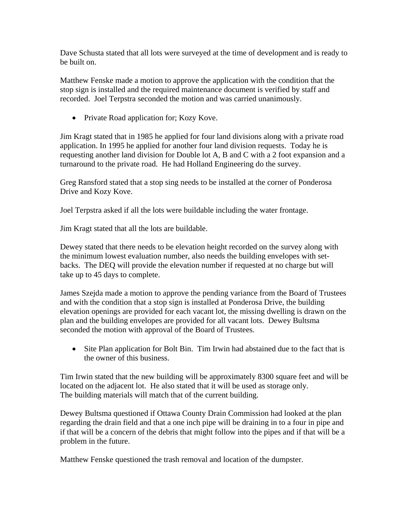Dave Schusta stated that all lots were surveyed at the time of development and is ready to be built on.

Matthew Fenske made a motion to approve the application with the condition that the stop sign is installed and the required maintenance document is verified by staff and recorded. Joel Terpstra seconded the motion and was carried unanimously.

• Private Road application for; Kozy Kove.

Jim Kragt stated that in 1985 he applied for four land divisions along with a private road application. In 1995 he applied for another four land division requests. Today he is requesting another land division for Double lot A, B and C with a 2 foot expansion and a turnaround to the private road. He had Holland Engineering do the survey.

Greg Ransford stated that a stop sing needs to be installed at the corner of Ponderosa Drive and Kozy Kove.

Joel Terpstra asked if all the lots were buildable including the water frontage.

Jim Kragt stated that all the lots are buildable.

Dewey stated that there needs to be elevation height recorded on the survey along with the minimum lowest evaluation number, also needs the building envelopes with setbacks. The DEQ will provide the elevation number if requested at no charge but will take up to 45 days to complete.

James Szejda made a motion to approve the pending variance from the Board of Trustees and with the condition that a stop sign is installed at Ponderosa Drive, the building elevation openings are provided for each vacant lot, the missing dwelling is drawn on the plan and the building envelopes are provided for all vacant lots. Dewey Bultsma seconded the motion with approval of the Board of Trustees.

• Site Plan application for Bolt Bin. Tim Irwin had abstained due to the fact that is the owner of this business.

Tim Irwin stated that the new building will be approximately 8300 square feet and will be located on the adjacent lot. He also stated that it will be used as storage only. The building materials will match that of the current building.

Dewey Bultsma questioned if Ottawa County Drain Commission had looked at the plan regarding the drain field and that a one inch pipe will be draining in to a four in pipe and if that will be a concern of the debris that might follow into the pipes and if that will be a problem in the future.

Matthew Fenske questioned the trash removal and location of the dumpster.